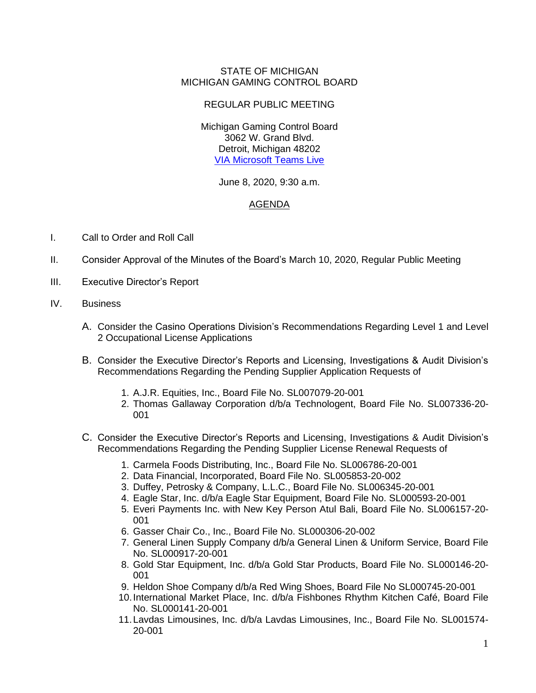## STATE OF MICHIGAN MICHIGAN GAMING CONTROL BOARD

## REGULAR PUBLIC MEETING

Michigan Gaming Control Board 3062 W. Grand Blvd. Detroit, Michigan 48202 [VIA Microsoft Teams Live](https://teams.microsoft.com/l/meetup-join/19%3ameeting_ZDU0MDJjNzktODQ4Yy00ODUxLTllZmMtNmY3ZDY5OGY4ZDBm%40thread.v2/0?context=%7b%22Tid%22%3a%22d5fb7087-3777-42ad-966a-892ef47225d1%22%2c%22Oid%22%3a%227fdb628b-18f8-4f9d-b65f-202908c27d2d%22%2c%22IsBroadcastMeeting%22%3atrue%7d)

## June 8, 2020, 9:30 a.m.

## AGENDA

- I. Call to Order and Roll Call
- II. Consider Approval of the Minutes of the Board's March 10, 2020, Regular Public Meeting
- III. Executive Director's Report
- IV. Business
	- A. Consider the Casino Operations Division's Recommendations Regarding Level 1 and Level 2 Occupational License Applications
	- B. Consider the Executive Director's Reports and Licensing, Investigations & Audit Division's Recommendations Regarding the Pending Supplier Application Requests of
		- 1. A.J.R. Equities, Inc., Board File No. SL007079-20-001
		- 2. Thomas Gallaway Corporation d/b/a Technologent, Board File No. SL007336-20- 001
	- C. Consider the Executive Director's Reports and Licensing, Investigations & Audit Division's Recommendations Regarding the Pending Supplier License Renewal Requests of
		- 1. Carmela Foods Distributing, Inc., Board File No. SL006786-20-001
		- 2. Data Financial, Incorporated, Board File No. SL005853-20-002
		- 3. Duffey, Petrosky & Company, L.L.C., Board File No. SL006345-20-001
		- 4. Eagle Star, Inc. d/b/a Eagle Star Equipment, Board File No. SL000593-20-001
		- 5. Everi Payments Inc. with New Key Person Atul Bali, Board File No. SL006157-20- 001
		- 6. Gasser Chair Co., Inc., Board File No. SL000306-20-002
		- 7. General Linen Supply Company d/b/a General Linen & Uniform Service, Board File No. SL000917-20-001
		- 8. Gold Star Equipment, Inc. d/b/a Gold Star Products, Board File No. SL000146-20- 001
		- 9. Heldon Shoe Company d/b/a Red Wing Shoes, Board File No SL000745-20-001
		- 10.International Market Place, Inc. d/b/a Fishbones Rhythm Kitchen Café, Board File No. SL000141-20-001
		- 11.Lavdas Limousines, Inc. d/b/a Lavdas Limousines, Inc., Board File No. SL001574- 20-001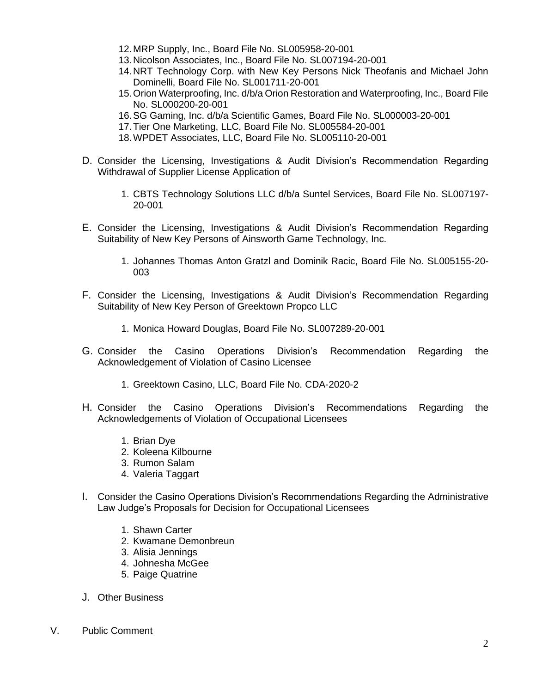- 12.MRP Supply, Inc., Board File No. SL005958-20-001
- 13.Nicolson Associates, Inc., Board File No. SL007194-20-001
- 14.NRT Technology Corp. with New Key Persons Nick Theofanis and Michael John Dominelli, Board File No. SL001711-20-001
- 15.Orion Waterproofing, Inc. d/b/a Orion Restoration and Waterproofing, Inc., Board File No. SL000200-20-001
- 16.SG Gaming, Inc. d/b/a Scientific Games, Board File No. SL000003-20-001
- 17.Tier One Marketing, LLC, Board File No. SL005584-20-001
- 18.WPDET Associates, LLC, Board File No. SL005110-20-001
- D. Consider the Licensing, Investigations & Audit Division's Recommendation Regarding Withdrawal of Supplier License Application of
	- 1. CBTS Technology Solutions LLC d/b/a Suntel Services, Board File No. SL007197- 20-001
- E. Consider the Licensing, Investigations & Audit Division's Recommendation Regarding Suitability of New Key Persons of Ainsworth Game Technology, Inc.
	- 1. Johannes Thomas Anton Gratzl and Dominik Racic, Board File No. SL005155-20- 003
- F. Consider the Licensing, Investigations & Audit Division's Recommendation Regarding Suitability of New Key Person of Greektown Propco LLC
	- 1. Monica Howard Douglas, Board File No. SL007289-20-001
- G. Consider the Casino Operations Division's Recommendation Regarding the Acknowledgement of Violation of Casino Licensee
	- 1. Greektown Casino, LLC, Board File No. CDA-2020-2
- H. Consider the Casino Operations Division's Recommendations Regarding the Acknowledgements of Violation of Occupational Licensees
	- 1. Brian Dye
	- 2. Koleena Kilbourne
	- 3. Rumon Salam
	- 4. Valeria Taggart
- I. Consider the Casino Operations Division's Recommendations Regarding the Administrative Law Judge's Proposals for Decision for Occupational Licensees
	- 1. Shawn Carter
	- 2. Kwamane Demonbreun
	- 3. Alisia Jennings
	- 4. Johnesha McGee
	- 5. Paige Quatrine
- J. Other Business
- V. Public Comment